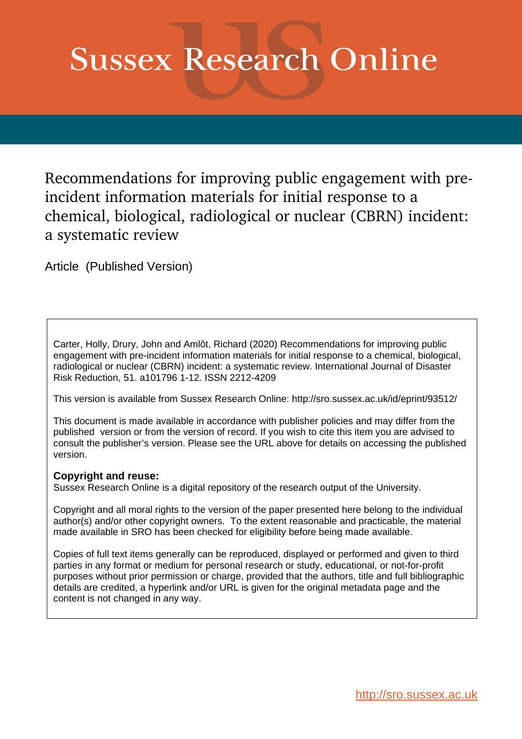# **Sussex Research Online**

Recommendations for improving public engagement with preincident information materials for initial response to a chemical, biological, radiological or nuclear (CBRN) incident: a systematic review

Article (Published Version)

Carter, Holly, Drury, John and Amlôt, Richard (2020) Recommendations for improving public engagement with pre-incident information materials for initial response to a chemical, biological, radiological or nuclear (CBRN) incident: a systematic review. International Journal of Disaster Risk Reduction, 51. a101796 1-12. ISSN 2212-4209

This version is available from Sussex Research Online: http://sro.sussex.ac.uk/id/eprint/93512/

This document is made available in accordance with publisher policies and may differ from the published version or from the version of record. If you wish to cite this item you are advised to consult the publisher's version. Please see the URL above for details on accessing the published version.

## **Copyright and reuse:**

Sussex Research Online is a digital repository of the research output of the University.

Copyright and all moral rights to the version of the paper presented here belong to the individual author(s) and/or other copyright owners. To the extent reasonable and practicable, the material made available in SRO has been checked for eligibility before being made available.

Copies of full text items generally can be reproduced, displayed or performed and given to third parties in any format or medium for personal research or study, educational, or not-for-profit purposes without prior permission or charge, provided that the authors, title and full bibliographic details are credited, a hyperlink and/or URL is given for the original metadata page and the content is not changed in any way.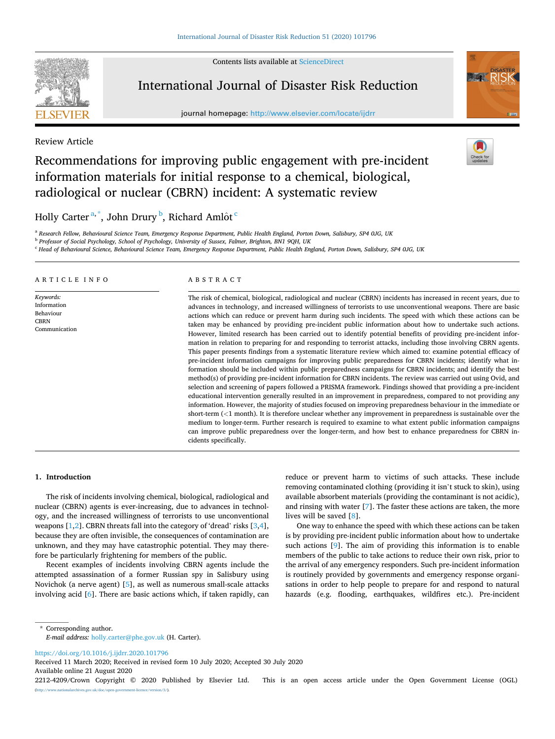Contents lists available at [ScienceDirect](www.sciencedirect.com/science/journal/22124209)



## International Journal of Disaster Risk Reduction

journal homepage: [http://www.elsevier.com/locate/ijdrr](https://http://www.elsevier.com/locate/ijdrr) 



#### Review Article

## Recommendations for improving public engagement with pre-incident information materials for initial response to a chemical, biological, radiological or nuclear (CBRN) incident: A systematic review

## Holly Carter<sup>a,\*</sup>, John Drury <sup>b</sup>, Richard Amlôt<sup>c</sup>

<sup>a</sup> *Research Fellow, Behavioural Science Team, Emergency Response Department, Public Health England, Porton Down, Salisbury, SP4 0JG, UK* 

<sup>b</sup> *Professor of Social Psychology, School of Psychology, University of Sussex, Falmer, Brighton, BN1 9QH, UK* 

<sup>c</sup> *Head of Behavioural Science, Behavioural Science Team, Emergency Response Department, Public Health England, Porton Down, Salisbury, SP4 0JG, UK* 

#### ARTICLE INFO

*Keywords:*  Information Behaviour **CBRN** Communication

#### ABSTRACT

The risk of chemical, biological, radiological and nuclear (CBRN) incidents has increased in recent years, due to advances in technology, and increased willingness of terrorists to use unconventional weapons. There are basic actions which can reduce or prevent harm during such incidents. The speed with which these actions can be taken may be enhanced by providing pre-incident public information about how to undertake such actions. However, limited research has been carried out to identify potential benefits of providing pre-incident information in relation to preparing for and responding to terrorist attacks, including those involving CBRN agents. This paper presents findings from a systematic literature review which aimed to: examine potential efficacy of pre-incident information campaigns for improving public preparedness for CBRN incidents; identify what information should be included within public preparedness campaigns for CBRN incidents; and identify the best method(s) of providing pre-incident information for CBRN incidents. The review was carried out using Ovid, and selection and screening of papers followed a PRISMA framework. Findings showed that providing a pre-incident educational intervention generally resulted in an improvement in preparedness, compared to not providing any information. However, the majority of studies focused on improving preparedness behaviour in the immediate or short-term (*<*1 month). It is therefore unclear whether any improvement in preparedness is sustainable over the medium to longer-term. Further research is required to examine to what extent public information campaigns can improve public preparedness over the longer-term, and how best to enhance preparedness for CBRN incidents specifically.

#### **1. Introduction**

The risk of incidents involving chemical, biological, radiological and nuclear (CBRN) agents is ever-increasing, due to advances in technology, and the increased willingness of terrorists to use unconventional weapons  $[1,2]$  $[1,2]$  $[1,2]$ . CBRN threats fall into the category of 'dread' risks  $[3,4]$  $[3,4]$  $[3,4]$  $[3,4]$  $[3,4]$ , because they are often invisible, the consequences of contamination are unknown, and they may have catastrophic potential. They may therefore be particularly frightening for members of the public.

Recent examples of incidents involving CBRN agents include the attempted assassination of a former Russian spy in Salisbury using Novichok (a nerve agent) [[5](#page-11-0)], as well as numerous small-scale attacks involving acid [[6](#page-11-0)]. There are basic actions which, if taken rapidly, can reduce or prevent harm to victims of such attacks. These include removing contaminated clothing (providing it isn't stuck to skin), using available absorbent materials (providing the contaminant is not acidic), and rinsing with water [\[7\]](#page-11-0). The faster these actions are taken, the more lives will be saved [\[8\]](#page-11-0).

One way to enhance the speed with which these actions can be taken is by providing pre-incident public information about how to undertake such actions [[9](#page-11-0)]. The aim of providing this information is to enable members of the public to take actions to reduce their own risk, prior to the arrival of any emergency responders. Such pre-incident information is routinely provided by governments and emergency response organisations in order to help people to prepare for and respond to natural hazards (e.g. flooding, earthquakes, wildfires etc.). Pre-incident

\* Corresponding author. *E-mail address:* [holly.carter@phe.gov.uk](mailto:holly.carter@phe.gov.uk) (H. Carter).

<https://doi.org/10.1016/j.ijdrr.2020.101796>

Available online 21 August 2020 Received 11 March 2020; Received in revised form 10 July 2020; Accepted 30 July 2020

2212-4209/Crown Copyright © 2020 Published by Elsevier Ltd. This is an open access article under the Open Government License (OGL) (http://www.nationala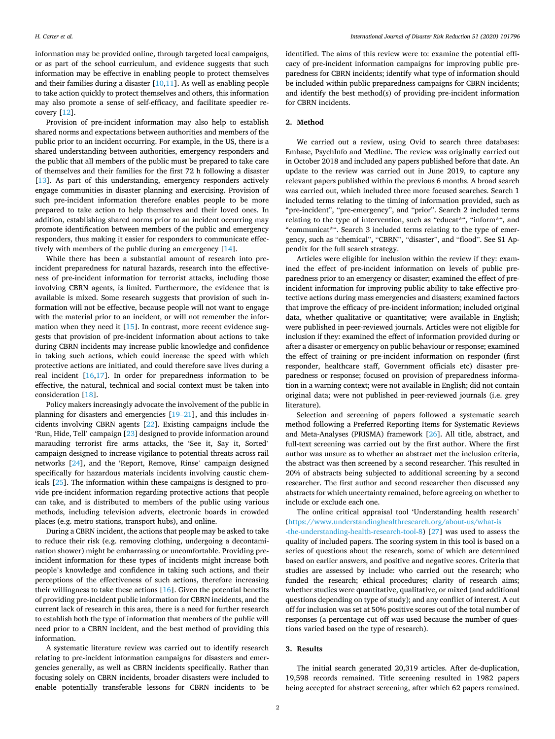information may be provided online, through targeted local campaigns, or as part of the school curriculum, and evidence suggests that such information may be effective in enabling people to protect themselves and their families during a disaster [[10,11\]](#page-11-0). As well as enabling people to take action quickly to protect themselves and others, this information may also promote a sense of self-efficacy, and facilitate speedier recovery [[12\]](#page-11-0).

Provision of pre-incident information may also help to establish shared norms and expectations between authorities and members of the public prior to an incident occurring. For example, in the US, there is a shared understanding between authorities, emergency responders and the public that all members of the public must be prepared to take care of themselves and their families for the first 72 h following a disaster [[13\]](#page-11-0). As part of this understanding, emergency responders actively engage communities in disaster planning and exercising. Provision of such pre-incident information therefore enables people to be more prepared to take action to help themselves and their loved ones. In addition, establishing shared norms prior to an incident occurring may promote identification between members of the public and emergency responders, thus making it easier for responders to communicate effectively with members of the public during an emergency [\[14](#page-11-0)].

While there has been a substantial amount of research into preincident preparedness for natural hazards, research into the effectiveness of pre-incident information for terrorist attacks, including those involving CBRN agents, is limited. Furthermore, the evidence that is available is mixed. Some research suggests that provision of such information will not be effective, because people will not want to engage with the material prior to an incident, or will not remember the information when they need it  $[15]$  $[15]$ . In contrast, more recent evidence suggests that provision of pre-incident information about actions to take during CBRN incidents may increase public knowledge and confidence in taking such actions, which could increase the speed with which protective actions are initiated, and could therefore save lives during a real incident [\[16,17](#page-11-0)]. In order for preparedness information to be effective, the natural, technical and social context must be taken into consideration [\[18](#page-11-0)].

Policy makers increasingly advocate the involvement of the public in planning for disasters and emergencies [\[19](#page-11-0)–21], and this includes incidents involving CBRN agents [[22\]](#page-11-0). Existing campaigns include the 'Run, Hide, Tell' campaign [[23\]](#page-11-0) designed to provide information around marauding terrorist fire arms attacks, the 'See it, Say it, Sorted' campaign designed to increase vigilance to potential threats across rail networks [\[24](#page-11-0)], and the 'Report, Remove, Rinse' campaign designed specifically for hazardous materials incidents involving caustic chemicals [\[25](#page-11-0)]. The information within these campaigns is designed to provide pre-incident information regarding protective actions that people can take, and is distributed to members of the public using various methods, including television adverts, electronic boards in crowded places (e.g. metro stations, transport hubs), and online.

During a CBRN incident, the actions that people may be asked to take to reduce their risk (e.g. removing clothing, undergoing a decontamination shower) might be embarrassing or uncomfortable. Providing preincident information for these types of incidents might increase both people's knowledge and confidence in taking such actions, and their perceptions of the effectiveness of such actions, therefore increasing their willingness to take these actions [[16\]](#page-11-0). Given the potential benefits of providing pre-incident public information for CBRN incidents, and the current lack of research in this area, there is a need for further research to establish both the type of information that members of the public will need prior to a CBRN incident, and the best method of providing this information.

A systematic literature review was carried out to identify research relating to pre-incident information campaigns for disasters and emergencies generally, as well as CBRN incidents specifically. Rather than focusing solely on CBRN incidents, broader disasters were included to enable potentially transferable lessons for CBRN incidents to be

identified. The aims of this review were to: examine the potential efficacy of pre-incident information campaigns for improving public preparedness for CBRN incidents; identify what type of information should be included within public preparedness campaigns for CBRN incidents; and identify the best method(s) of providing pre-incident information for CBRN incidents.

#### **2. Method**

We carried out a review, using Ovid to search three databases: Embase, PsychInfo and Medline. The review was originally carried out in October 2018 and included any papers published before that date. An update to the review was carried out in June 2019, to capture any relevant papers published within the previous 6 months. A broad search was carried out, which included three more focused searches. Search 1 included terms relating to the timing of information provided, such as "pre-incident", "pre-emergency", and "prior". Search 2 included terms relating to the type of intervention, such as "educat\*", "inform\*", and "communicat\*". Search 3 included terms relating to the type of emergency, such as "chemical", "CBRN", "disaster", and "flood". See S1 Appendix for the full search strategy.

Articles were eligible for inclusion within the review if they: examined the effect of pre-incident information on levels of public preparedness prior to an emergency or disaster; examined the effect of preincident information for improving public ability to take effective protective actions during mass emergencies and disasters; examined factors that improve the efficacy of pre-incident information; included original data, whether qualitative or quantitative; were available in English; were published in peer-reviewed journals. Articles were not eligible for inclusion if they: examined the effect of information provided during or after a disaster or emergency on public behaviour or response; examined the effect of training or pre-incident information on responder (first responder, healthcare staff, Government officials etc) disaster preparedness or response; focused on provision of preparedness information in a warning context; were not available in English; did not contain original data; were not published in peer-reviewed journals (i.e. grey literature).

Selection and screening of papers followed a systematic search method following a Preferred Reporting Items for Systematic Reviews and Meta-Analyses (PRISMA) framework [\[26](#page-11-0)]. All title, abstract, and full-text screening was carried out by the first author. Where the first author was unsure as to whether an abstract met the inclusion criteria, the abstract was then screened by a second researcher. This resulted in 20% of abstracts being subjected to additional screening by a second researcher. The first author and second researcher then discussed any abstracts for which uncertainty remained, before agreeing on whether to include or exclude each one.

The online critical appraisal tool 'Understanding health research' ([https://www.understandinghealthresearch.org/about-us/what-is](https://www.understandinghealthresearch.org/about-us/what-is-the-understanding-health-research-tool-8) [-the-understanding-health-research-tool-8\)](https://www.understandinghealthresearch.org/about-us/what-is-the-understanding-health-research-tool-8) [[27\]](#page-11-0) was used to assess the

quality of included papers. The scoring system in this tool is based on a series of questions about the research, some of which are determined based on earlier answers, and positive and negative scores. Criteria that studies are assessed by include: who carried out the research; who funded the research; ethical procedures; clarity of research aims; whether studies were quantitative, qualitative, or mixed (and additional questions depending on type of study); and any conflict of interest. A cut off for inclusion was set at 50% positive scores out of the total number of responses (a percentage cut off was used because the number of questions varied based on the type of research).

### **3. Results**

The initial search generated 20,319 articles. After de-duplication, 19,598 records remained. Title screening resulted in 1982 papers being accepted for abstract screening, after which 62 papers remained.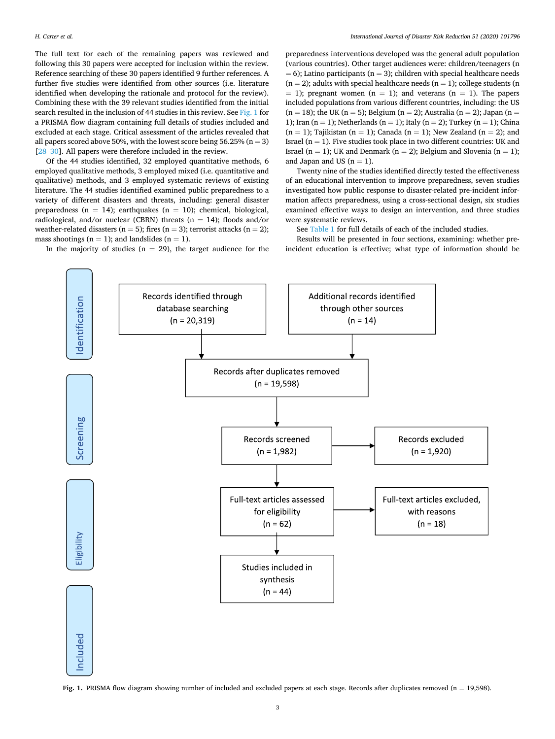The full text for each of the remaining papers was reviewed and following this 30 papers were accepted for inclusion within the review. Reference searching of these 30 papers identified 9 further references. A further five studies were identified from other sources (i.e. literature identified when developing the rationale and protocol for the review). Combining these with the 39 relevant studies identified from the initial search resulted in the inclusion of 44 studies in this review. See Fig. 1 for a PRISMA flow diagram containing full details of studies included and excluded at each stage. Critical assessment of the articles revealed that all papers scored above 50%, with the lowest score being 56.25% ( $n = 3$ ) [28–[30\]](#page-11-0). All papers were therefore included in the review.

Of the 44 studies identified, 32 employed quantitative methods, 6 employed qualitative methods, 3 employed mixed (i.e. quantitative and qualitative) methods, and 3 employed systematic reviews of existing literature. The 44 studies identified examined public preparedness to a variety of different disasters and threats, including: general disaster preparedness ( $n = 14$ ); earthquakes ( $n = 10$ ); chemical, biological, radiological, and/or nuclear (CBRN) threats ( $n = 14$ ); floods and/or weather-related disasters ( $n = 5$ ); fires ( $n = 3$ ); terrorist attacks ( $n = 2$ ); mass shootings ( $n = 1$ ); and landslides ( $n = 1$ ).

In the majority of studies ( $n = 29$ ), the target audience for the

preparedness interventions developed was the general adult population (various countries). Other target audiences were: children/teenagers (n  $= 6$ ); Latino participants (n = 3); children with special healthcare needs  $(n = 2)$ ; adults with special healthcare needs  $(n = 1)$ ; college students  $(n = 1)$  $= 1$ ); pregnant women (n  $= 1$ ); and veterans (n  $= 1$ ). The papers included populations from various different countries, including: the US  $(n = 18)$ ; the UK  $(n = 5)$ ; Belgium  $(n = 2)$ ; Australia  $(n = 2)$ ; Japan  $(n = 18)$ 1); Iran  $(n = 1)$ ; Netherlands  $(n = 1)$ ; Italy  $(n = 2)$ ; Turkey  $(n = 1)$ ; China  $(n = 1)$ ; Tajikistan  $(n = 1)$ ; Canada  $(n = 1)$ ; New Zealand  $(n = 2)$ ; and Israel ( $n = 1$ ). Five studies took place in two different countries: UK and Israel (n = 1); UK and Denmark (n = 2); Belgium and Slovenia (n = 1); and Japan and US  $(n = 1)$ .

Twenty nine of the studies identified directly tested the effectiveness of an educational intervention to improve preparedness, seven studies investigated how public response to disaster-related pre-incident information affects preparedness, using a cross-sectional design, six studies examined effective ways to design an intervention, and three studies were systematic reviews.

See [Table 1](#page-4-0) for full details of each of the included studies.

Results will be presented in four sections, examining: whether preincident education is effective; what type of information should be



Fig. 1. PRISMA flow diagram showing number of included and excluded papers at each stage. Records after duplicates removed (n = 19,598).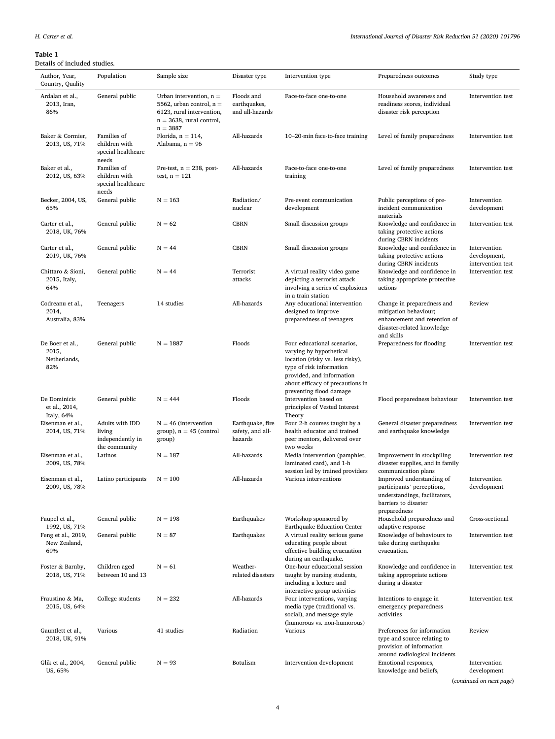#### <span id="page-4-0"></span>**Table 1**

## Details of included studies.

| Details of included studies.                    |                                                                |                                                                                                                                   |                                                 |                                                                                                                                                                                                                    |                                                                                                                                  |                                                   |
|-------------------------------------------------|----------------------------------------------------------------|-----------------------------------------------------------------------------------------------------------------------------------|-------------------------------------------------|--------------------------------------------------------------------------------------------------------------------------------------------------------------------------------------------------------------------|----------------------------------------------------------------------------------------------------------------------------------|---------------------------------------------------|
| Author, Year,<br>Country, Quality               | Population                                                     | Sample size                                                                                                                       | Disaster type                                   | Intervention type                                                                                                                                                                                                  | Preparedness outcomes                                                                                                            | Study type                                        |
| Ardalan et al.,<br>2013, Iran,<br>86%           | General public                                                 | Urban intervention, $n =$<br>5562, urban control, $n =$<br>6123, rural intervention,<br>$n = 3638$ , rural control,<br>$n = 3887$ | Floods and<br>earthquakes,<br>and all-hazards   | Face-to-face one-to-one                                                                                                                                                                                            | Household awareness and<br>readiness scores, individual<br>disaster risk perception                                              | Intervention test                                 |
| Baker & Cormier,<br>2013, US, 71%               | Families of<br>children with<br>special healthcare<br>needs    | Florida, $n = 114$ ,<br>Alabama, $n = 96$                                                                                         | All-hazards                                     | 10-20-min face-to-face training                                                                                                                                                                                    | Level of family preparedness                                                                                                     | Intervention test                                 |
| Baker et al.,<br>2012, US, 63%                  | Families of<br>children with<br>special healthcare<br>needs    | Pre-test, $n = 238$ , post-<br>test, $n = 121$                                                                                    | All-hazards                                     | Face-to-face one-to-one<br>training                                                                                                                                                                                | Level of family preparedness                                                                                                     | Intervention test                                 |
| Becker, 2004, US,<br>65%                        | General public                                                 | $N = 163$                                                                                                                         | Radiation/<br>nuclear                           | Pre-event communication<br>development                                                                                                                                                                             | Public perceptions of pre-<br>incident communication<br>materials                                                                | Intervention<br>development                       |
| Carter et al.,<br>2018, UK, 76%                 | General public                                                 | $N = 62$                                                                                                                          | <b>CBRN</b>                                     | Small discussion groups                                                                                                                                                                                            | Knowledge and confidence in<br>taking protective actions<br>during CBRN incidents                                                | Intervention test                                 |
| Carter et al.,<br>2019, UK, 76%                 | General public                                                 | $N = 44$                                                                                                                          | <b>CBRN</b>                                     | Small discussion groups                                                                                                                                                                                            | Knowledge and confidence in<br>taking protective actions<br>during CBRN incidents                                                | Intervention<br>development,<br>intervention test |
| Chittaro & Sioni,<br>2015, Italy,<br>64%        | General public                                                 | $N = 44$                                                                                                                          | Terrorist<br>attacks                            | A virtual reality video game<br>depicting a terrorist attack<br>involving a series of explosions<br>in a train station                                                                                             | Knowledge and confidence in<br>taking appropriate protective<br>actions                                                          | Intervention test                                 |
| Codreanu et al.,<br>2014,<br>Australia, 83%     | Teenagers                                                      | 14 studies                                                                                                                        | All-hazards                                     | Any educational intervention<br>designed to improve<br>preparedness of teenagers                                                                                                                                   | Change in preparedness and<br>mitigation behaviour;<br>enhancement and retention of<br>disaster-related knowledge<br>and skills  | Review                                            |
| De Boer et al.,<br>2015,<br>Netherlands,<br>82% | General public                                                 | $N = 1887$                                                                                                                        | Floods                                          | Four educational scenarios,<br>varying by hypothetical<br>location (risky vs. less risky),<br>type of risk information<br>provided, and information<br>about efficacy of precautions in<br>preventing flood damage | Preparedness for flooding                                                                                                        | Intervention test                                 |
| De Dominicis<br>et al., 2014,<br>Italy, 64%     | General public                                                 | $N = 444$                                                                                                                         | Floods                                          | Intervention based on<br>principles of Vested Interest<br>Theory                                                                                                                                                   | Flood preparedness behaviour                                                                                                     | Intervention test                                 |
| Eisenman et al.,<br>2014, US, 71%               | Adults with IDD<br>living<br>independently in<br>the community | $N = 46$ (intervention<br>group), $n = 45$ (control<br>group)                                                                     | Earthquake, fire<br>safety, and all-<br>hazards | Four 2-h courses taught by a<br>health educator and trained<br>peer mentors, delivered over<br>two weeks                                                                                                           | General disaster preparedness<br>and earthquake knowledge                                                                        | Intervention test                                 |
| Eisenman et al.,<br>2009, US, 78%               | Latinos                                                        | $N = 187$                                                                                                                         | All-hazards                                     | Media intervention (pamphlet,<br>laminated card), and 1-h<br>session led by trained providers                                                                                                                      | Improvement in stockpiling<br>disaster supplies, and in family<br>communication plans                                            | Intervention test                                 |
| Eisenman et al.,<br>2009, US, 78%               | Latino participants                                            | $N = 100$                                                                                                                         | All-hazards                                     | Various interventions                                                                                                                                                                                              | Improved understanding of<br>participants' perceptions,<br>understandings, facilitators,<br>barriers to disaster<br>preparedness | Intervention<br>development                       |
| Faupel et al.,<br>1992, US, 71%                 | General public                                                 | $N = 198$                                                                                                                         | Earthquakes                                     | Workshop sponsored by<br>Earthquake Education Center                                                                                                                                                               | Household preparedness and<br>adaptive response                                                                                  | Cross-sectional                                   |
| Feng et al., 2019,<br>New Zealand,<br>69%       | General public                                                 | $N = 87$                                                                                                                          | Earthquakes                                     | A virtual reality serious game<br>educating people about<br>effective building evacuation<br>during an earthquake.                                                                                                 | Knowledge of behaviours to<br>take during earthquake<br>evacuation.                                                              | Intervention test                                 |
| Foster & Barnby,<br>2018, US, 71%               | Children aged<br>between 10 and 13                             | $N = 61$                                                                                                                          | Weather-<br>related disasters                   | One-hour educational session<br>taught by nursing students,<br>including a lecture and<br>interactive group activities                                                                                             | Knowledge and confidence in<br>taking appropriate actions<br>during a disaster                                                   | Intervention test                                 |
| Fraustino & Ma,<br>2015, US, 64%                | College students                                               | $N = 232$                                                                                                                         | All-hazards                                     | Four interventions, varying<br>media type (traditional vs.<br>social), and message style<br>(humorous vs. non-humorous)                                                                                            | Intentions to engage in<br>emergency preparedness<br>activities                                                                  | Intervention test                                 |
| Gauntlett et al.,<br>2018, UK, 91%              | Various                                                        | 41 studies                                                                                                                        | Radiation                                       | Various                                                                                                                                                                                                            | Preferences for information<br>type and source relating to<br>provision of information<br>around radiological incidents          | Review                                            |
| Glik et al., 2004,<br>US, 65%                   | General public                                                 | $N = 93$                                                                                                                          | Botulism                                        | Intervention development                                                                                                                                                                                           | Emotional responses,<br>knowledge and beliefs,                                                                                   | Intervention<br>development                       |

(*continued on next page*)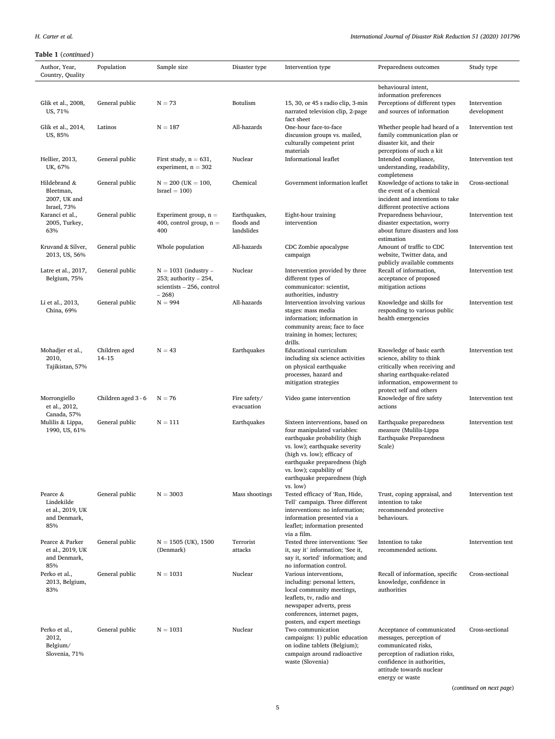| Author, Year,<br>Country, Quality                                 | Population                 | Sample size                                                                                | Disaster type                            | Intervention type                                                                                                                                                                                                                                                       | Preparedness outcomes                                                                                                                                                          | Study type                  |
|-------------------------------------------------------------------|----------------------------|--------------------------------------------------------------------------------------------|------------------------------------------|-------------------------------------------------------------------------------------------------------------------------------------------------------------------------------------------------------------------------------------------------------------------------|--------------------------------------------------------------------------------------------------------------------------------------------------------------------------------|-----------------------------|
|                                                                   |                            |                                                                                            |                                          |                                                                                                                                                                                                                                                                         | behavioural intent,                                                                                                                                                            |                             |
| Glik et al., 2008,<br>US, 71%                                     | General public             | $N = 73$                                                                                   | Botulism                                 | 15, 30, or 45 s radio clip, 3-min<br>narrated television clip, 2-page<br>fact sheet                                                                                                                                                                                     | information preferences<br>Perceptions of different types<br>and sources of information                                                                                        | Intervention<br>development |
| Glik et al., 2014,<br>US, 85%                                     | Latinos                    | $N = 187$                                                                                  | All-hazards                              | One-hour face-to-face<br>discussion groups vs. mailed,<br>culturally competent print<br>materials                                                                                                                                                                       | Whether people had heard of a<br>family communication plan or<br>disaster kit, and their<br>perceptions of such a kit                                                          | Intervention test           |
| Hellier, 2013,<br>UK, 67%                                         | General public             | First study, $n = 631$ ,<br>experiment, $n = 302$                                          | Nuclear                                  | Informational leaflet                                                                                                                                                                                                                                                   | Intended compliance,<br>understanding, readability,<br>completeness                                                                                                            | Intervention test           |
| Hildebrand &<br>Bleetman,<br>2007, UK and<br>Israel, 73%          | General public             | $N = 200$ (UK = 100,<br>$Israel = 100$                                                     | Chemical                                 | Government information leaflet                                                                                                                                                                                                                                          | Knowledge of actions to take in<br>the event of a chemical<br>incident and intentions to take<br>different protective actions                                                  | Cross-sectional             |
| Karanci et al.,<br>2005, Turkey,<br>63%                           | General public             | Experiment group, $n =$<br>400, control group, $n =$<br>400                                | Earthquakes,<br>floods and<br>landslides | Eight-hour training<br>intervention                                                                                                                                                                                                                                     | Preparedness behaviour,<br>disaster expectation, worry<br>about future disasters and loss<br>estimation                                                                        | Intervention test           |
| Kruvand & Silver,<br>2013, US, 56%                                | General public             | Whole population                                                                           | All-hazards                              | CDC Zombie apocalypse<br>campaign                                                                                                                                                                                                                                       | Amount of traffic to CDC<br>website, Twitter data, and<br>publicly available comments                                                                                          | Intervention test           |
| Latre et al., 2017,<br>Belgium, 75%                               | General public             | $N = 1031$ (industry -<br>253; authority $-254$ ,<br>scientists $-256$ , control<br>$-268$ | Nuclear                                  | Intervention provided by three<br>different types of<br>communicator: scientist,<br>authorities, industry                                                                                                                                                               | Recall of information,<br>acceptance of proposed<br>mitigation actions                                                                                                         | Intervention test           |
| Li et al., 2013,<br>China, 69%                                    | General public             | $N = 994$                                                                                  | All-hazards                              | Intervention involving various<br>stages: mass media<br>information; information in<br>community areas; face to face<br>training in homes; lectures;<br>drills.                                                                                                         | Knowledge and skills for<br>responding to various public<br>health emergencies                                                                                                 | Intervention test           |
| Mohadjer et al.,<br>2010,<br>Tajikistan, 57%                      | Children aged<br>$14 - 15$ | $N = 43$                                                                                   | Earthquakes                              | Educational curriculum<br>including six science activities<br>on physical earthquake<br>processes, hazard and<br>mitigation strategies                                                                                                                                  | Knowledge of basic earth<br>science, ability to think<br>critically when receiving and<br>sharing earthquake-related<br>information, empowerment to<br>protect self and others | Intervention test           |
| Morrongiello<br>et al., 2012,<br>Canada, 57%                      | Children aged 3 - 6        | $N = 76$                                                                                   | Fire safety/<br>evacuation               | Video game intervention                                                                                                                                                                                                                                                 | Knowledge of fire safety<br>actions                                                                                                                                            | Intervention test           |
| Mulilis & Lippa,<br>1990, US, 61%                                 | General public             | $N = 111$                                                                                  | Earthquakes                              | Sixteen interventions, based on<br>four manipulated variables:<br>earthquake probability (high<br>vs. low); earthquake severity<br>(high vs. low); efficacy of<br>earthquake preparedness (high<br>vs. low); capability of<br>earthquake preparedness (high<br>vs. low) | Earthquake preparedness<br>measure (Mulilis-Lippa<br>Earthquake Preparedness<br>Scale)                                                                                         | Intervention test           |
| Pearce &<br>Lindekilde<br>et al., 2019, UK<br>and Denmark,<br>85% | General public             | $N = 3003$                                                                                 | Mass shootings                           | Tested efficacy of 'Run, Hide,<br>Tell' campaign. Three different<br>interventions: no information;<br>information presented via a<br>leaflet; information presented<br>via a film.                                                                                     | Trust, coping appraisal, and<br>intention to take<br>recommended protective<br>behaviours.                                                                                     | Intervention test           |
| Pearce & Parker<br>et al., 2019, UK<br>and Denmark,<br>85%        | General public             | $N = 1505$ (UK), 1500<br>(Denmark)                                                         | Terrorist<br>attacks                     | Tested three interventions: 'See<br>it, say it' information; 'See it,<br>say it, sorted' information; and<br>no information control.                                                                                                                                    | Intention to take<br>recommended actions.                                                                                                                                      | Intervention test           |
| Perko et al.,<br>2013, Belgium,<br>83%                            | General public             | $N = 1031$                                                                                 | Nuclear                                  | Various interventions,<br>including: personal letters,<br>local community meetings,<br>leaflets, tv, radio and<br>newspaper adverts, press<br>conferences, internet pages,<br>posters, and expert meetings                                                              | Recall of information, specific<br>knowledge, confidence in<br>authorities                                                                                                     | Cross-sectional             |
| Perko et al.,<br>2012,<br>Belgium/<br>Slovenia, 71%               | General public             | $N = 1031$                                                                                 | Nuclear                                  | Two communication<br>campaigns: 1) public education<br>on iodine tablets (Belgium);<br>campaign around radioactive<br>waste (Slovenia)                                                                                                                                  | Acceptance of communicated<br>messages, perception of<br>communicated risks,<br>perception of radiation risks,<br>confidence in authorities,<br>attitude towards nuclear       | Cross-sectional             |

(*continued on next page*)

energy or waste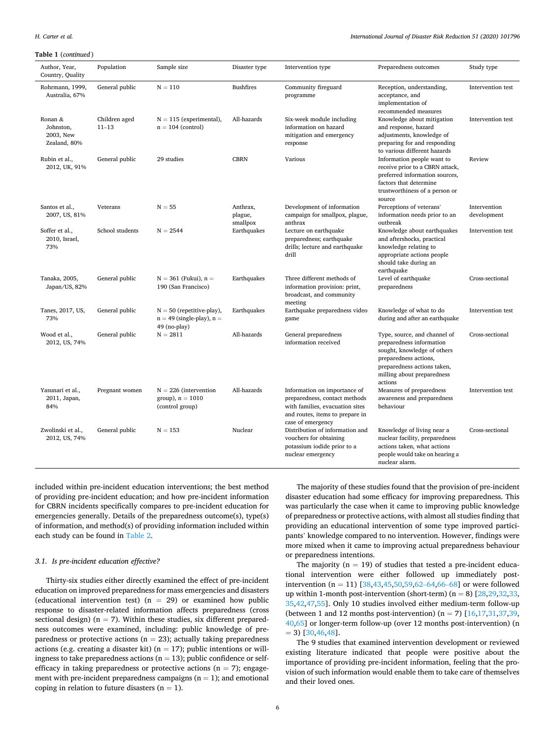*H. Carter et al.* 

| <b>Table 1</b> (continued)                        |                            |                                                                                |                                 |                                                                                                                                                          |                                                                                                                                                                                          |                             |  |
|---------------------------------------------------|----------------------------|--------------------------------------------------------------------------------|---------------------------------|----------------------------------------------------------------------------------------------------------------------------------------------------------|------------------------------------------------------------------------------------------------------------------------------------------------------------------------------------------|-----------------------------|--|
| Author, Year,<br>Country, Quality                 | Population                 | Sample size                                                                    | Disaster type                   | Intervention type                                                                                                                                        | Preparedness outcomes                                                                                                                                                                    | Study type                  |  |
| Rohrmann, 1999,<br>Australia, 67%                 | General public             | $N = 110$                                                                      | <b>Bushfires</b>                | Community fireguard<br>programme                                                                                                                         | Reception, understanding,<br>acceptance, and<br>implementation of<br>recommended measures                                                                                                | Intervention test           |  |
| Ronan &<br>Johnston,<br>2003, New<br>Zealand, 80% | Children aged<br>$11 - 13$ | $N = 115$ (experimental),<br>$n = 104$ (control)                               | All-hazards                     | Six-week module including<br>information on hazard<br>mitigation and emergency<br>response                                                               | Knowledge about mitigation<br>and response, hazard<br>adjustments, knowledge of<br>preparing for and responding<br>to various different hazards                                          | Intervention test           |  |
| Rubin et al.,<br>2012, UK, 91%                    | General public             | 29 studies                                                                     | <b>CBRN</b>                     | Various                                                                                                                                                  | Information people want to<br>receive prior to a CBRN attack,<br>preferred information sources,<br>factors that determine<br>trustworthiness of a person or<br>source                    | Review                      |  |
| Santos et al.,<br>2007, US, 81%                   | Veterans                   | $N = 55$                                                                       | Anthrax,<br>plague,<br>smallpox | Development of information<br>campaign for smallpox, plague,<br>anthrax                                                                                  | Perceptions of veterans'<br>information needs prior to an<br>outbreak                                                                                                                    | Intervention<br>development |  |
| Soffer et al.,<br>2010, Israel,<br>73%            | School students            | $N = 2544$                                                                     | Earthquakes                     | Lecture on earthquake<br>preparedness; earthquake<br>drills; lecture and earthquake<br>drill                                                             | Knowledge about earthquakes<br>and aftershocks, practical<br>knowledge relating to<br>appropriate actions people<br>should take during an<br>earthquake                                  | Intervention test           |  |
| Tanaka, 2005,<br>Japan/US, 82%                    | General public             | $N = 361$ (Fukui), $n =$<br>190 (San Francisco)                                | Earthquakes                     | Three different methods of<br>information provision: print,<br>broadcast, and community<br>meeting                                                       | Level of earthquake<br>preparedness                                                                                                                                                      | Cross-sectional             |  |
| Tanes, 2017, US,<br>73%                           | General public             | $N = 50$ (repetitive-play),<br>$n = 49$ (single-play), $n =$<br>$49$ (no-play) | Earthquakes                     | Earthquake preparedness video<br>game                                                                                                                    | Knowledge of what to do<br>during and after an earthquake                                                                                                                                | Intervention test           |  |
| Wood et al.,<br>2012, US, 74%                     | General public             | $N = 2811$                                                                     | All-hazards                     | General preparedness<br>information received                                                                                                             | Type, source, and channel of<br>preparedness information<br>sought, knowledge of others<br>preparedness actions,<br>preparedness actions taken,<br>milling about preparedness<br>actions | Cross-sectional             |  |
| Yasunari et al.,<br>2011, Japan,<br>84%           | Pregnant women             | $N = 226$ (intervention<br>group), $n = 1010$<br>(control group)               | All-hazards                     | Information on importance of<br>preparedness, contact methods<br>with families, evacuation sites<br>and routes, items to prepare in<br>case of emergency | Measures of preparedness<br>awareness and preparedness<br>behaviour                                                                                                                      | Intervention test           |  |
| Zwolinski et al.,<br>2012, US, 74%                | General public             | $N = 153$                                                                      | Nuclear                         | Distribution of information and<br>vouchers for obtaining<br>potassium iodide prior to a<br>nuclear emergency                                            | Knowledge of living near a<br>nuclear facility, preparedness<br>actions taken, what actions<br>people would take on hearing a<br>nuclear alarm.                                          | Cross-sectional             |  |

included within pre-incident education interventions; the best method of providing pre-incident education; and how pre-incident information for CBRN incidents specifically compares to pre-incident education for emergencies generally. Details of the preparedness outcome(s), type(s) of information, and method(s) of providing information included within each study can be found in [Table 2.](#page-7-0)

#### *3.1. Is pre-incident education effective?*

Thirty-six studies either directly examined the effect of pre-incident education on improved preparedness for mass emergencies and disasters (educational intervention test) ( $n = 29$ ) or examined how public response to disaster-related information affects preparedness (cross sectional design) ( $n = 7$ ). Within these studies, six different preparedness outcomes were examined, including: public knowledge of preparedness or protective actions ( $n = 23$ ); actually taking preparedness actions (e.g. creating a disaster kit) ( $n = 17$ ); public intentions or willingness to take preparedness actions ( $n = 13$ ); public confidence or selfefficacy in taking preparedness or protective actions ( $n = 7$ ); engagement with pre-incident preparedness campaigns  $(n = 1)$ ; and emotional coping in relation to future disasters  $(n = 1)$ .

The majority of these studies found that the provision of pre-incident disaster education had some efficacy for improving preparedness. This was particularly the case when it came to improving public knowledge of preparedness or protective actions, with almost all studies finding that providing an educational intervention of some type improved participants' knowledge compared to no intervention. However, findings were more mixed when it came to improving actual preparedness behaviour or preparedness intentions.

The majority ( $n = 19$ ) of studies that tested a pre-incident educational intervention were either followed up immediately postintervention (n = 11)  $[38, 43, 45, 50, 59, 62-64, 66-68]$  or were followed up within 1-month post-intervention (short-term) ( $n = 8$ ) [28, 29, 32, 33, [35,42,47,55](#page-11-0)]. Only 10 studies involved either medium-term follow-up (between 1 and 12 months post-intervention) ( $n = 7$ ) [[16,17,31,37,39](#page-11-0), [40,](#page-11-0)[65\]](#page-12-0) or longer-term follow-up (over 12 months post-intervention) (n  $= 3$ ) [\[30](#page-11-0),[46,48\]](#page-11-0).

The 9 studies that examined intervention development or reviewed existing literature indicated that people were positive about the importance of providing pre-incident information, feeling that the provision of such information would enable them to take care of themselves and their loved ones.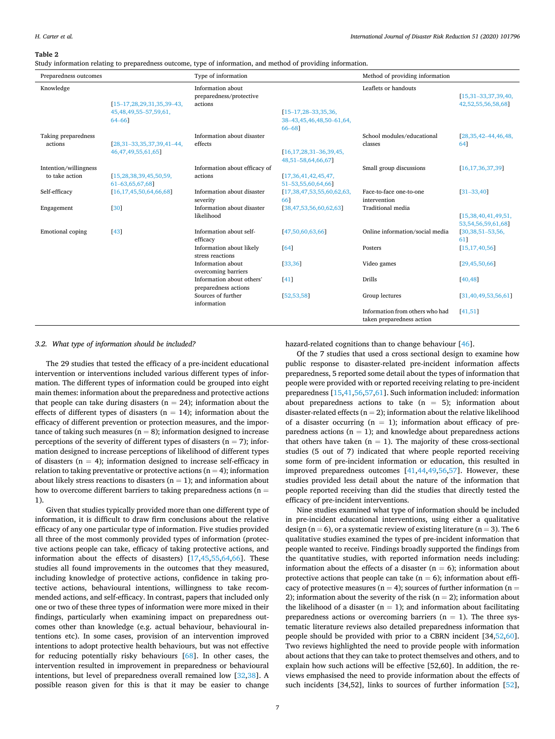#### <span id="page-7-0"></span>**Table 2**

Study information relating to preparedness outcome, type of information, and method of providing information.

| Preparedness outcomes                   |                                                                            | Type of information                                     |                                                                    | Method of providing information                              |                                                |
|-----------------------------------------|----------------------------------------------------------------------------|---------------------------------------------------------|--------------------------------------------------------------------|--------------------------------------------------------------|------------------------------------------------|
| Knowledge                               | $[15-17, 28, 29, 31, 35, 39-43,$<br>45, 48, 49, 55 - 57, 59, 61,<br>64-661 | Information about<br>preparedness/protective<br>actions | $[15 - 17, 28 - 33, 35, 36,$<br>38-43,45,46,48,50-61,64,<br>66-681 | Leaflets or handouts                                         | $[15,31-33,37,39,40,$<br>42,52,55,56,58,68]    |
| Taking preparedness<br>actions          | $[28, 31 - 33, 35, 37, 39, 41 - 44,$<br>46, 47, 49, 55, 61, 65]            | Information about disaster<br>effects                   | $[16, 17, 28, 31 - 36, 39, 45,$<br>48,51-58,64,66,67]              | School modules/educational<br>classes                        | $[28, 35, 42 - 44, 46, 48,$<br>641             |
| Intention/willingness<br>to take action | [15, 28, 38, 39, 45, 50, 59,<br>61-63,65,67,68]                            | Information about efficacy of<br>actions                | [17,36,41,42,45,47,<br>51-53,55,60,64,66]                          | Small group discussions                                      | [16, 17, 36, 37, 39]                           |
| Self-efficacy                           | [16, 17, 45, 50, 64, 66, 68]                                               | Information about disaster<br>severity                  | [17, 38, 47, 53, 55, 60, 62, 63,<br>661                            | Face-to-face one-to-one<br>intervention                      | $[31 - 33, 40]$                                |
| Engagement                              | [30]                                                                       | Information about disaster<br>likelihood                | [38,47,53,56,60,62,63]                                             | <b>Traditional</b> media                                     | [15,38,40,41,49,51,<br>53, 54, 56, 59, 61, 68] |
| Emotional coping                        | [43]                                                                       | Information about self-<br>efficacy                     | 47,50,60,63,66                                                     | Online information/social media                              | $[30, 38, 51 - 53, 56,$<br>611                 |
|                                         |                                                                            | Information about likely<br>stress reactions            | [64]                                                               | Posters                                                      | [15, 17, 40, 56]                               |
|                                         |                                                                            | Information about<br>overcoming barriers                | [33, 36]                                                           | Video games                                                  | [29, 45, 50, 66]                               |
|                                         |                                                                            | Information about others'<br>preparedness actions       | [41]                                                               | Drills                                                       | [40, 48]                                       |
|                                         |                                                                            | Sources of further<br>information                       | [52, 53, 58]                                                       | Group lectures                                               | [31, 40, 49, 53, 56, 61]                       |
|                                         |                                                                            |                                                         |                                                                    | Information from others who had<br>taken preparedness action | [41, 51]                                       |

#### *3.2. What type of information should be included?*

The 29 studies that tested the efficacy of a pre-incident educational intervention or interventions included various different types of information. The different types of information could be grouped into eight main themes: information about the preparedness and protective actions that people can take during disasters ( $n = 24$ ); information about the effects of different types of disasters ( $n = 14$ ); information about the efficacy of different prevention or protection measures, and the importance of taking such measures ( $n = 8$ ); information designed to increase perceptions of the severity of different types of disasters ( $n = 7$ ); information designed to increase perceptions of likelihood of different types of disasters ( $n = 4$ ); information designed to increase self-efficacy in relation to taking preventative or protective actions ( $n = 4$ ); information about likely stress reactions to disasters  $(n = 1)$ ; and information about how to overcome different barriers to taking preparedness actions ( $n =$ 1).

Given that studies typically provided more than one different type of information, it is difficult to draw firm conclusions about the relative efficacy of any one particular type of information. Five studies provided all three of the most commonly provided types of information (protective actions people can take, efficacy of taking protective actions, and information about the effects of disasters) [\[17](#page-11-0),[45,55,](#page-11-0)[64,66](#page-12-0)]. These studies all found improvements in the outcomes that they measured, including knowledge of protective actions, confidence in taking protective actions, behavioural intentions, willingness to take recommended actions, and self-efficacy. In contrast, papers that included only one or two of these three types of information were more mixed in their findings, particularly when examining impact on preparedness outcomes other than knowledge (e.g. actual behaviour, behavioural intentions etc). In some cases, provision of an intervention improved intentions to adopt protective health behaviours, but was not effective for reducing potentially risky behaviours [[68\]](#page-12-0). In other cases, the intervention resulted in improvement in preparedness or behavioural intentions, but level of preparedness overall remained low [[32,38\]](#page-11-0). A possible reason given for this is that it may be easier to change

hazard-related cognitions than to change behaviour [\[46](#page-11-0)].

Of the 7 studies that used a cross sectional design to examine how public response to disaster-related pre-incident information affects preparedness, 5 reported some detail about the types of information that people were provided with or reported receiving relating to pre-incident preparedness [[15,41](#page-11-0)[,56](#page-12-0),[57,61\]](#page-12-0). Such information included: information about preparedness actions to take  $(n = 5)$ ; information about disaster-related effects ( $n = 2$ ); information about the relative likelihood of a disaster occurring  $(n = 1)$ ; information about efficacy of preparedness actions ( $n = 1$ ); and knowledge about preparedness actions that others have taken  $(n = 1)$ . The majority of these cross-sectional studies (5 out of 7) indicated that where people reported receiving some form of pre-incident information or education, this resulted in improved preparedness outcomes [\[41,44,49](#page-11-0),[56,57\]](#page-12-0). However, these studies provided less detail about the nature of the information that people reported receiving than did the studies that directly tested the efficacy of pre-incident interventions.

Nine studies examined what type of information should be included in pre-incident educational interventions, using either a qualitative design ( $n = 6$ ), or a systematic review of existing literature ( $n = 3$ ). The 6 qualitative studies examined the types of pre-incident information that people wanted to receive. Findings broadly supported the findings from the quantitative studies, with reported information needs including: information about the effects of a disaster ( $n = 6$ ); information about protective actions that people can take  $(n = 6)$ ; information about efficacy of protective measures ( $n = 4$ ); sources of further information ( $n =$ 2); information about the severity of the risk ( $n = 2$ ); information about the likelihood of a disaster ( $n = 1$ ); and information about facilitating preparedness actions or overcoming barriers ( $n = 1$ ). The three systematic literature reviews also detailed preparedness information that people should be provided with prior to a CBRN incident [34,[52,](#page-11-0)[60](#page-12-0)]. Two reviews highlighted the need to provide people with information about actions that they can take to protect themselves and others, and to explain how such actions will be effective [52,60]. In addition, the reviews emphasised the need to provide information about the effects of such incidents [34,52], links to sources of further information [\[52](#page-11-0)],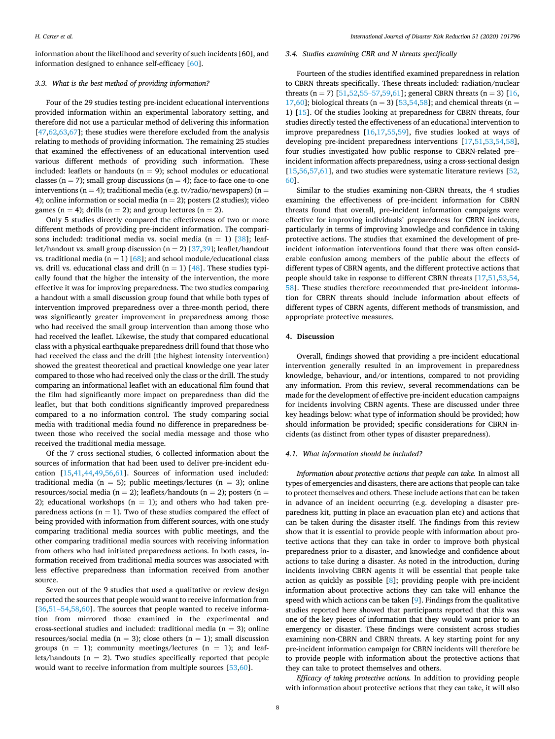information about the likelihood and severity of such incidents [60], and information designed to enhance self-efficacy [[60\]](#page-12-0).

#### *3.3. What is the best method of providing information?*

Four of the 29 studies testing pre-incident educational interventions provided information within an experimental laboratory setting, and therefore did not use a particular method of delivering this information  $[47,62,63,67]$  $[47,62,63,67]$  $[47,62,63,67]$  $[47,62,63,67]$  $[47,62,63,67]$ ; these studies were therefore excluded from the analysis relating to methods of providing information. The remaining 25 studies that examined the effectiveness of an educational intervention used various different methods of providing such information. These included: leaflets or handouts ( $n = 9$ ); school modules or educational classes ( $n = 7$ ); small group discussions ( $n = 4$ ); face-to-face one-to-one interventions (n = 4); traditional media (e.g. tv/radio/newspapers) (n = 4); online information or social media ( $n = 2$ ); posters (2 studies); video games ( $n = 4$ ); drills ( $n = 2$ ); and group lectures ( $n = 2$ ).

Only 5 studies directly compared the effectiveness of two or more different methods of providing pre-incident information. The compari-sons included: traditional media vs. social media (n = 1) [\[38](#page-11-0)]; leaflet/handout vs. small group discussion ( $n = 2$ ) [[37,39\]](#page-11-0); leaflet/handout vs. traditional media ( $n = 1$ ) [[68\]](#page-12-0); and school module/educational class vs. drill vs. educational class and drill ( $n = 1$ ) [[48\]](#page-11-0). These studies typically found that the higher the intensity of the intervention, the more effective it was for improving preparedness. The two studies comparing a handout with a small discussion group found that while both types of intervention improved preparedness over a three-month period, there was significantly greater improvement in preparedness among those who had received the small group intervention than among those who had received the leaflet. Likewise, the study that compared educational class with a physical earthquake preparedness drill found that those who had received the class and the drill (the highest intensity intervention) showed the greatest theoretical and practical knowledge one year later compared to those who had received only the class or the drill. The study comparing an informational leaflet with an educational film found that the film had significantly more impact on preparedness than did the leaflet, but that both conditions significantly improved preparedness compared to a no information control. The study comparing social media with traditional media found no difference in preparedness between those who received the social media message and those who received the traditional media message.

Of the 7 cross sectional studies, 6 collected information about the sources of information that had been used to deliver pre-incident education [[15,41,44,49](#page-11-0),[56,61\]](#page-12-0). Sources of information used included: traditional media ( $n = 5$ ); public meetings/lectures ( $n = 3$ ); online resources/social media ( $n = 2$ ); leaflets/handouts ( $n = 2$ ); posters ( $n = 1$ ) 2); educational workshops  $(n = 1)$ ; and others who had taken preparedness actions ( $n = 1$ ). Two of these studies compared the effect of being provided with information from different sources, with one study comparing traditional media sources with public meetings, and the other comparing traditional media sources with receiving information from others who had initiated preparedness actions. In both cases, information received from traditional media sources was associated with less effective preparedness than information received from another source.

Seven out of the 9 studies that used a qualitative or review design reported the sources that people would want to receive information from [[36,51](#page-11-0)-54[,58](#page-12-0),[60\]](#page-12-0). The sources that people wanted to receive information from mirrored those examined in the experimental and cross-sectional studies and included: traditional media ( $n = 3$ ); online resources/social media ( $n = 3$ ); close others ( $n = 1$ ); small discussion groups ( $n = 1$ ); community meetings/lectures ( $n = 1$ ); and leaflets/handouts ( $n = 2$ ). Two studies specifically reported that people would want to receive information from multiple sources [[53](#page-11-0)[,60](#page-12-0)].

#### *3.4. Studies examining CBR and N threats specifically*

Fourteen of the studies identified examined preparedness in relation to CBRN threats specifically. These threats included: radiation/nuclear threats (n = 7) [[51,52,55](#page-11-0)–57[,59](#page-12-0),[61\]](#page-12-0); general CBRN threats (n = 3) [\[16](#page-11-0), [17,](#page-11-0)[60\]](#page-12-0); biological threats (n = 3) [[53,54](#page-11-0)[,58](#page-12-0)]; and chemical threats (n = 1) [\[15](#page-11-0)]. Of the studies looking at preparedness for CBRN threats, four studies directly tested the effectiveness of an educational intervention to improve preparedness [\[16](#page-11-0),[17,55,](#page-11-0)[59\]](#page-12-0), five studies looked at ways of developing pre-incident preparedness interventions [\[17,51](#page-11-0),[53,54,](#page-11-0)[58](#page-12-0)], four studies investigated how public response to CBRN-related pre-incident information affects preparedness, using a cross-sectional design [[15](#page-11-0)[,56,57](#page-12-0),[61\]](#page-12-0), and two studies were systematic literature reviews [\[52](#page-11-0), [60\]](#page-12-0).

Similar to the studies examining non-CBRN threats, the 4 studies examining the effectiveness of pre-incident information for CBRN threats found that overall, pre-incident information campaigns were effective for improving individuals' preparedness for CBRN incidents, particularly in terms of improving knowledge and confidence in taking protective actions. The studies that examined the development of preincident information interventions found that there was often considerable confusion among members of the public about the effects of different types of CBRN agents, and the different protective actions that people should take in response to different CBRN threats [[17,51,53,54](#page-11-0), [58\]](#page-12-0). These studies therefore recommended that pre-incident information for CBRN threats should include information about effects of different types of CBRN agents, different methods of transmission, and appropriate protective measures.

#### **4. Discussion**

Overall, findings showed that providing a pre-incident educational intervention generally resulted in an improvement in preparedness knowledge, behaviour, and/or intentions, compared to not providing any information. From this review, several recommendations can be made for the development of effective pre-incident education campaigns for incidents involving CBRN agents. These are discussed under three key headings below: what type of information should be provided; how should information be provided; specific considerations for CBRN incidents (as distinct from other types of disaster preparedness).

#### *4.1. What information should be included?*

*Information about protective actions that people can take.* In almost all types of emergencies and disasters, there are actions that people can take to protect themselves and others. These include actions that can be taken in advance of an incident occurring (e.g. developing a disaster preparedness kit, putting in place an evacuation plan etc) and actions that can be taken during the disaster itself. The findings from this review show that it is essential to provide people with information about protective actions that they can take in order to improve both physical preparedness prior to a disaster, and knowledge and confidence about actions to take during a disaster. As noted in the introduction, during incidents involving CBRN agents it will be essential that people take action as quickly as possible [[8\]](#page-11-0); providing people with pre-incident information about protective actions they can take will enhance the speed with which actions can be taken [[9](#page-11-0)]. Findings from the qualitative studies reported here showed that participants reported that this was one of the key pieces of information that they would want prior to an emergency or disaster. These findings were consistent across studies examining non-CBRN and CBRN threats. A key starting point for any pre-incident information campaign for CBRN incidents will therefore be to provide people with information about the protective actions that they can take to protect themselves and others.

*Efficacy of taking protective actions.* In addition to providing people with information about protective actions that they can take, it will also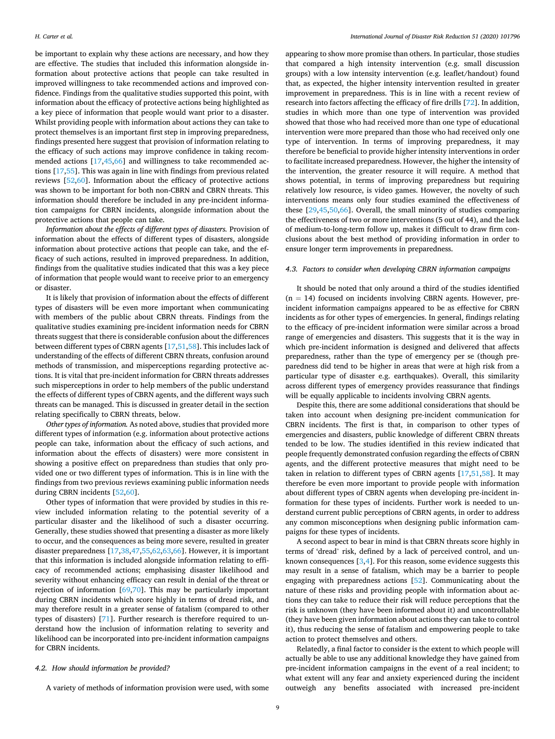be important to explain why these actions are necessary, and how they are effective. The studies that included this information alongside information about protective actions that people can take resulted in improved willingness to take recommended actions and improved confidence. Findings from the qualitative studies supported this point, with information about the efficacy of protective actions being highlighted as a key piece of information that people would want prior to a disaster. Whilst providing people with information about actions they can take to protect themselves is an important first step in improving preparedness, findings presented here suggest that provision of information relating to the efficacy of such actions may improve confidence in taking recommended actions [\[17](#page-11-0),[45,](#page-11-0)[66\]](#page-12-0) and willingness to take recommended actions [\[17,55](#page-11-0)]. This was again in line with findings from previous related reviews [\[52](#page-11-0),[60\]](#page-12-0). Information about the efficacy of protective actions was shown to be important for both non-CBRN and CBRN threats. This information should therefore be included in any pre-incident information campaigns for CBRN incidents, alongside information about the protective actions that people can take.

*Information about the effects of different types of disasters.* Provision of information about the effects of different types of disasters, alongside information about protective actions that people can take, and the efficacy of such actions, resulted in improved preparedness. In addition, findings from the qualitative studies indicated that this was a key piece of information that people would want to receive prior to an emergency or disaster.

It is likely that provision of information about the effects of different types of disasters will be even more important when communicating with members of the public about CBRN threats. Findings from the qualitative studies examining pre-incident information needs for CBRN threats suggest that there is considerable confusion about the differences between different types of CBRN agents [[17,51,](#page-11-0)[58](#page-12-0)]. This includes lack of understanding of the effects of different CBRN threats, confusion around methods of transmission, and misperceptions regarding protective actions. It is vital that pre-incident information for CBRN threats addresses such misperceptions in order to help members of the public understand the effects of different types of CBRN agents, and the different ways such threats can be managed. This is discussed in greater detail in the section relating specifically to CBRN threats, below.

*Other types of information.* As noted above, studies that provided more different types of information (e.g. information about protective actions people can take, information about the efficacy of such actions, and information about the effects of disasters) were more consistent in showing a positive effect on preparedness than studies that only provided one or two different types of information. This is in line with the findings from two previous reviews examining public information needs during CBRN incidents [\[52](#page-11-0)[,60](#page-12-0)].

Other types of information that were provided by studies in this review included information relating to the potential severity of a particular disaster and the likelihood of such a disaster occurring. Generally, these studies showed that presenting a disaster as more likely to occur, and the consequences as being more severe, resulted in greater disaster preparedness [[17,38,47,55](#page-11-0)[,62](#page-12-0),[63,66\]](#page-12-0). However, it is important that this information is included alongside information relating to efficacy of recommended actions; emphasising disaster likelihood and severity without enhancing efficacy can result in denial of the threat or rejection of information [\[69,70](#page-12-0)]. This may be particularly important during CBRN incidents which score highly in terms of dread risk, and may therefore result in a greater sense of fatalism (compared to other types of disasters) [\[71](#page-12-0)]. Further research is therefore required to understand how the inclusion of information relating to severity and likelihood can be incorporated into pre-incident information campaigns for CBRN incidents.

#### *4.2. How should information be provided?*

A variety of methods of information provision were used, with some

appearing to show more promise than others. In particular, those studies that compared a high intensity intervention (e.g. small discussion groups) with a low intensity intervention (e.g. leaflet/handout) found that, as expected, the higher intensity intervention resulted in greater improvement in preparedness. This is in line with a recent review of research into factors affecting the efficacy of fire drills [\[72](#page-12-0)]. In addition, studies in which more than one type of intervention was provided showed that those who had received more than one type of educational intervention were more prepared than those who had received only one type of intervention. In terms of improving preparedness, it may therefore be beneficial to provide higher intensity interventions in order to facilitate increased preparedness. However, the higher the intensity of the intervention, the greater resource it will require. A method that shows potential, in terms of improving preparedness but requiring relatively low resource, is video games. However, the novelty of such interventions means only four studies examined the effectiveness of these [\[29,45](#page-11-0),[50,](#page-11-0)[66\]](#page-12-0). Overall, the small minority of studies comparing the effectiveness of two or more interventions (5 out of 44), and the lack of medium-to-long-term follow up, makes it difficult to draw firm conclusions about the best method of providing information in order to ensure longer term improvements in preparedness.

#### *4.3. Factors to consider when developing CBRN information campaigns*

It should be noted that only around a third of the studies identified  $(n = 14)$  focused on incidents involving CBRN agents. However, preincident information campaigns appeared to be as effective for CBRN incidents as for other types of emergencies. In general, findings relating to the efficacy of pre-incident information were similar across a broad range of emergencies and disasters. This suggests that it is the way in which pre-incident information is designed and delivered that affects preparedness, rather than the type of emergency per se (though preparedness did tend to be higher in areas that were at high risk from a particular type of disaster e.g. earthquakes). Overall, this similarity across different types of emergency provides reassurance that findings will be equally applicable to incidents involving CBRN agents.

Despite this, there are some additional considerations that should be taken into account when designing pre-incident communication for CBRN incidents. The first is that, in comparison to other types of emergencies and disasters, public knowledge of different CBRN threats tended to be low. The studies identified in this review indicated that people frequently demonstrated confusion regarding the effects of CBRN agents, and the different protective measures that might need to be taken in relation to different types of CBRN agents [[17,51](#page-11-0)[,58](#page-12-0)]. It may therefore be even more important to provide people with information about different types of CBRN agents when developing pre-incident information for these types of incidents. Further work is needed to understand current public perceptions of CBRN agents, in order to address any common misconceptions when designing public information campaigns for these types of incidents.

A second aspect to bear in mind is that CBRN threats score highly in terms of 'dread' risk, defined by a lack of perceived control, and unknown consequences [[3,4\]](#page-11-0). For this reason, some evidence suggests this may result in a sense of fatalism, which may be a barrier to people engaging with preparedness actions [\[52](#page-11-0)]. Communicating about the nature of these risks and providing people with information about actions they can take to reduce their risk will reduce perceptions that the risk is unknown (they have been informed about it) and uncontrollable (they have been given information about actions they can take to control it), thus reducing the sense of fatalism and empowering people to take action to protect themselves and others.

Relatedly, a final factor to consider is the extent to which people will actually be able to use any additional knowledge they have gained from pre-incident information campaigns in the event of a real incident; to what extent will any fear and anxiety experienced during the incident outweigh any benefits associated with increased pre-incident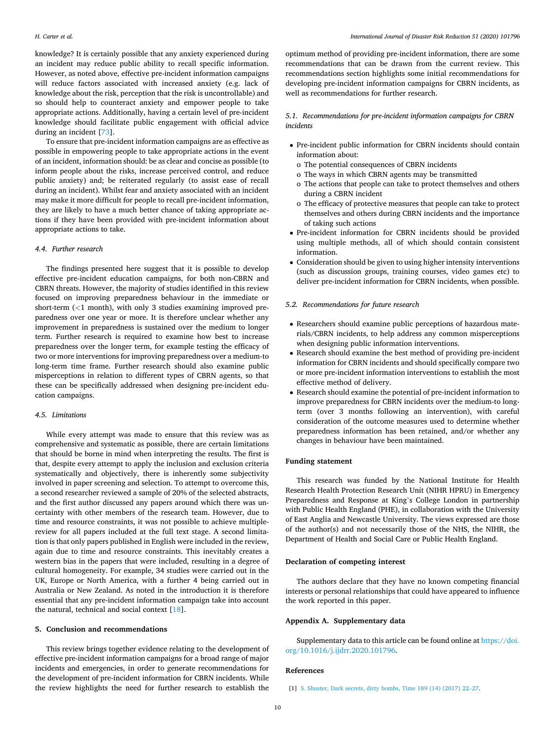<span id="page-10-0"></span>knowledge? It is certainly possible that any anxiety experienced during an incident may reduce public ability to recall specific information. However, as noted above, effective pre-incident information campaigns will reduce factors associated with increased anxiety (e.g. lack of knowledge about the risk, perception that the risk is uncontrollable) and so should help to counteract anxiety and empower people to take appropriate actions. Additionally, having a certain level of pre-incident knowledge should facilitate public engagement with official advice during an incident [[73\]](#page-12-0).

To ensure that pre-incident information campaigns are as effective as possible in empowering people to take appropriate actions in the event of an incident, information should: be as clear and concise as possible (to inform people about the risks, increase perceived control, and reduce public anxiety) and; be reiterated regularly (to assist ease of recall during an incident). Whilst fear and anxiety associated with an incident may make it more difficult for people to recall pre-incident information, they are likely to have a much better chance of taking appropriate actions if they have been provided with pre-incident information about appropriate actions to take.

#### *4.4. Further research*

The findings presented here suggest that it is possible to develop effective pre-incident education campaigns, for both non-CBRN and CBRN threats. However, the majority of studies identified in this review focused on improving preparedness behaviour in the immediate or short-term (*<*1 month), with only 3 studies examining improved preparedness over one year or more. It is therefore unclear whether any improvement in preparedness is sustained over the medium to longer term. Further research is required to examine how best to increase preparedness over the longer term, for example testing the efficacy of two or more interventions for improving preparedness over a medium-to long-term time frame. Further research should also examine public misperceptions in relation to different types of CBRN agents, so that these can be specifically addressed when designing pre-incident education campaigns.

#### *4.5. Limitations*

While every attempt was made to ensure that this review was as comprehensive and systematic as possible, there are certain limitations that should be borne in mind when interpreting the results. The first is that, despite every attempt to apply the inclusion and exclusion criteria systematically and objectively, there is inherently some subjectivity involved in paper screening and selection. To attempt to overcome this, a second researcher reviewed a sample of 20% of the selected abstracts, and the first author discussed any papers around which there was uncertainty with other members of the research team. However, due to time and resource constraints, it was not possible to achieve multiplereview for all papers included at the full text stage. A second limitation is that only papers published in English were included in the review, again due to time and resource constraints. This inevitably creates a western bias in the papers that were included, resulting in a degree of cultural homogeneity. For example, 34 studies were carried out in the UK, Europe or North America, with a further 4 being carried out in Australia or New Zealand. As noted in the introduction it is therefore essential that any pre-incident information campaign take into account the natural, technical and social context [\[18](#page-11-0)].

#### **5. Conclusion and recommendations**

This review brings together evidence relating to the development of effective pre-incident information campaigns for a broad range of major incidents and emergencies, in order to generate recommendations for the development of pre-incident information for CBRN incidents. While the review highlights the need for further research to establish the

optimum method of providing pre-incident information, there are some recommendations that can be drawn from the current review. This recommendations section highlights some initial recommendations for developing pre-incident information campaigns for CBRN incidents, as well as recommendations for further research.

#### *5.1. Recommendations for pre-incident information campaigns for CBRN incidents*

- Pre-incident public information for CBRN incidents should contain information about:
	- o The potential consequences of CBRN incidents
	- o The ways in which CBRN agents may be transmitted
	- o The actions that people can take to protect themselves and others during a CBRN incident
	- o The efficacy of protective measures that people can take to protect themselves and others during CBRN incidents and the importance of taking such actions
- Pre-incident information for CBRN incidents should be provided using multiple methods, all of which should contain consistent information.
- Consideration should be given to using higher intensity interventions (such as discussion groups, training courses, video games etc) to deliver pre-incident information for CBRN incidents, when possible.

#### *5.2. Recommendations for future research*

- Researchers should examine public perceptions of hazardous materials/CBRN incidents, to help address any common misperceptions when designing public information interventions.
- Research should examine the best method of providing pre-incident information for CBRN incidents and should specifically compare two or more pre-incident information interventions to establish the most effective method of delivery.
- Research should examine the potential of pre-incident information to improve preparedness for CBRN incidents over the medium-to longterm (over 3 months following an intervention), with careful consideration of the outcome measures used to determine whether preparedness information has been retained, and/or whether any changes in behaviour have been maintained.

#### **Funding statement**

This research was funded by the National Institute for Health Research Health Protection Research Unit (NIHR HPRU) in Emergency Preparedness and Response at King's College London in partnership with Public Health England (PHE), in collaboration with the University of East Anglia and Newcastle University. The views expressed are those of the author(s) and not necessarily those of the NHS, the NIHR, the Department of Health and Social Care or Public Health England.

#### **Declaration of competing interest**

The authors declare that they have no known competing financial interests or personal relationships that could have appeared to influence the work reported in this paper.

#### **Appendix A. Supplementary data**

Supplementary data to this article can be found online at [https://doi.](https://doi.org/10.1016/j.ijdrr.2020.101796)  [org/10.1016/j.ijdrr.2020.101796.](https://doi.org/10.1016/j.ijdrr.2020.101796)

#### **References**

<sup>[1]</sup> [S. Shuster, Dark secrets, dirty bombs, Time 189 \(14\) \(2017\) 22](http://refhub.elsevier.com/S2212-4209(20)31298-X/sref1)–27.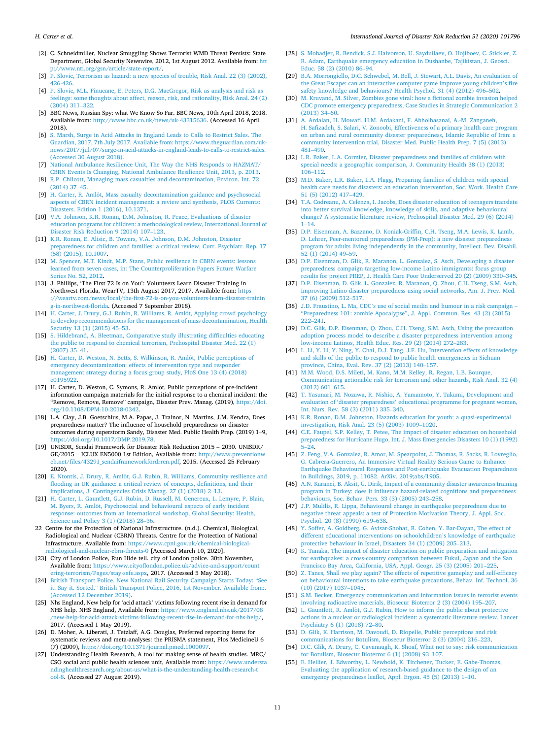*International Journal of Disaster Risk Reduction 51 (2020) 101796*

- <span id="page-11-0"></span>[2] C. Schneidmiller, Nuclear Smuggling Shows Terrorist WMD Threat Persists: State Department, Global Security Newswire, 2012, 1st August 2012. Available from: [htt](http://www.nti.org/gsn/article/state-report/)  [p://www.nti.org/gsn/article/state-report/.](http://www.nti.org/gsn/article/state-report/)
- [3] [P. Slovic, Terrorism as hazard: a new species of trouble, Risk Anal. 22 \(3\) \(2002\),](http://refhub.elsevier.com/S2212-4209(20)31298-X/sref3)  [426-426.](http://refhub.elsevier.com/S2212-4209(20)31298-X/sref3)
- [4] [P. Slovic, M.L. Finucane, E. Peters, D.G. MacGregor, Risk as analysis and risk as](http://refhub.elsevier.com/S2212-4209(20)31298-X/sref4) [feelings: some thoughts about affect, reason, risk, and rationality, Risk Anal. 24 \(2\)](http://refhub.elsevier.com/S2212-4209(20)31298-X/sref4)  [\(2004\) 311](http://refhub.elsevier.com/S2212-4209(20)31298-X/sref4)–322.
- [5] BBC News, Russian Spy: what We Know So Far. BBC News, 10th April 2018, 2018. Available from: [http://www.bbc.co.uk/news/uk-43315636.](http://www.bbc.co.uk/news/uk-43315636) (Accessed 16 April 2018).
- [6] [S. Marsh, Surge in Acid Attacks in England Leads to Calls to Restrict Sales. The](http://refhub.elsevier.com/S2212-4209(20)31298-X/sref6)  [Guardian, 2017, 7th July 2017. Available from: https://www.theguardian.com/uk](http://refhub.elsevier.com/S2212-4209(20)31298-X/sref6)[news/2017/jul/07/surge-in-acid-attacks-in-england-leads-to-calls-to-restrict-sales.](http://refhub.elsevier.com/S2212-4209(20)31298-X/sref6) [\(Accessed 30 August 2018\)](http://refhub.elsevier.com/S2212-4209(20)31298-X/sref6).
- [7] [National Ambulance Resilience Unit, The Way the NHS Responds to HAZMAT/](http://refhub.elsevier.com/S2212-4209(20)31298-X/sref7) [CBRN Events Is Changing, National Ambulance Resilience Unit, 2013, p. 2013.](http://refhub.elsevier.com/S2212-4209(20)31298-X/sref7)
- [8] [R.P. Chilcott, Managing mass casualties and decontamination, Environ. Int. 72](http://refhub.elsevier.com/S2212-4209(20)31298-X/sref8) [\(2014\) 37](http://refhub.elsevier.com/S2212-4209(20)31298-X/sref8)–45.
- [9] H. Carter, R. Amlôt, Mass casualty decontamination guidance and psychosocial [aspects of CBRN incident management: a review and synthesis, PLOS Currents:](http://refhub.elsevier.com/S2212-4209(20)31298-X/sref9) [Disasters. Edition 1 \(2016\), 10.1371.](http://refhub.elsevier.com/S2212-4209(20)31298-X/sref9)
- [10] [V.A. Johnson, K.R. Ronan, D.M. Johnston, R. Peace, Evaluations of disaster](http://refhub.elsevier.com/S2212-4209(20)31298-X/sref10) [education programs for children: a methodological review, International Journal of](http://refhub.elsevier.com/S2212-4209(20)31298-X/sref10)  [Disaster Risk Reduction 9 \(2014\) 107](http://refhub.elsevier.com/S2212-4209(20)31298-X/sref10)–123.
- [11] [K.R. Ronan, E. Alisic, B. Towers, V.A. Johnson, D.M. Johnston, Disaster](http://refhub.elsevier.com/S2212-4209(20)31298-X/sref11)  [preparedness for children and families: a critical review, Curr. Psychiatr. Rep. 17](http://refhub.elsevier.com/S2212-4209(20)31298-X/sref11)  [\(58\) \(2015\), 10.1007.](http://refhub.elsevier.com/S2212-4209(20)31298-X/sref11)
- [12] [M. Spencer, M.T. Kindt, M.P. Stans, Public resilience in CBRN events: lessons](http://refhub.elsevier.com/S2212-4209(20)31298-X/sref12)  [learned from seven cases, in: The Counterproliferation Papers Future Warfare](http://refhub.elsevier.com/S2212-4209(20)31298-X/sref12) eries No. 52, 2012.
- [13] J. Phillips, 'The First 72 Is on You': Volunteers Learn Disaster Training in Northwest Florida. WearTV, 13th August 2017, 2017. Available from: [https](https://weartv.com/news/local/the-first-72-is-on-you-volunteers-learn-disaster-training-in-northwest-florida)  [://weartv.com/news/local/the-first-72-is-on-you-volunteers-learn-disaster-trainin](https://weartv.com/news/local/the-first-72-is-on-you-volunteers-learn-disaster-training-in-northwest-florida) [g-in-northwest-florida](https://weartv.com/news/local/the-first-72-is-on-you-volunteers-learn-disaster-training-in-northwest-florida). (Accessed 7 September 2018).
- [14] H. Carter, J. Drury, G.J. Rubin, R. Williams, R. Amlôt, Applying crowd psychology [to develop recommendations for the management of mass decontamination, Health](http://refhub.elsevier.com/S2212-4209(20)31298-X/sref14)  [Security 13 \(1\) \(2015\) 45](http://refhub.elsevier.com/S2212-4209(20)31298-X/sref14)–53.
- [15] [S. Hildebrand, A. Bleetman, Comparative study illustrating difficulties educating](http://refhub.elsevier.com/S2212-4209(20)31298-X/sref15)  [the public to respond to chemical terrorism, Prehospital Disaster Med. 22 \(1\)](http://refhub.elsevier.com/S2212-4209(20)31298-X/sref15)  [\(2007\) 35](http://refhub.elsevier.com/S2212-4209(20)31298-X/sref15)–41.
- [16] H. Carter, D. Weston, N. Betts, S. Wilkinson, R. Amlôt, Public perceptions of [emergency decontamination: effects of intervention type and responder](http://refhub.elsevier.com/S2212-4209(20)31298-X/sref16)  [management strategy during a focus group study, PloS One 13 \(4\) \(2018\)](http://refhub.elsevier.com/S2212-4209(20)31298-X/sref16)  [e0195922](http://refhub.elsevier.com/S2212-4209(20)31298-X/sref16).
- [17] H. Carter, D. Weston, C. Symons, R. Amlôt, Public perceptions of pre-incident information campaign materials for the initial response to a chemical incident: the "Remove, Remove, Remove" campaign, Disaster Prev. Manag. (2019), [https://doi.](https://doi.org/10.1108/DPM-10-2018-0342)  [org/10.1108/DPM-10-2018-0342.](https://doi.org/10.1108/DPM-10-2018-0342)
- [18] L.A. Clay, J.B. Goetschius, M.A. Papas, J. Trainor, N. Martins, J.M. Kendra, Does preparedness matter? The influence of household preparedness on disaster outcomes during superstorm Sandy, Disaster Med. Public Health Prep. (2019) 1–9, [https://doi.org/10.1017/DMP.2019.78.](https://doi.org/10.1017/DMP.2019.78)
- [19] UNISDR, Sendai Framework for Disaster Risk Reduction 2015 2030. UNISDR/ GE/2015 – ICLUX EN5000 1st Edition, Available from: [http://www.preventionw](http://www.preventionweb.net/files/43291_sendaiframeworkfordrren.pdf)  [eb.net/files/43291\\_sendaiframeworkfordrren.pdf,](http://www.preventionweb.net/files/43291_sendaiframeworkfordrren.pdf) 2015. (Accessed 25 February 2020).
- [20] E. Ntontis, J. Drury, R. Amlôt, G.J. Rubin, R. Williams, Community resilience and [flooding in UK guidance: a critical review of concepts, definitions, and their](http://refhub.elsevier.com/S2212-4209(20)31298-X/sref20)  [implications, J. Contingencies Crisis Manag. 27 \(1\) \(2018\) 2](http://refhub.elsevier.com/S2212-4209(20)31298-X/sref20)–13.
- [21] [H. Carter, L. Gauntlett, G.J. Rubin, D. Russell, M. Genereux, L. Lemyre, P. Blain,](http://refhub.elsevier.com/S2212-4209(20)31298-X/sref21) M. Byers, R. Amlôt, [Psychosocial and behavioural aspects of early incident](http://refhub.elsevier.com/S2212-4209(20)31298-X/sref21) [response: outcomes from an international workshop, Global Security: Health,](http://refhub.elsevier.com/S2212-4209(20)31298-X/sref21) [Science and Policy 3 \(1\) \(2018\) 28](http://refhub.elsevier.com/S2212-4209(20)31298-X/sref21)–36.
- 22 Centre for the Protection of National Infrastructure. (n.d.). Chemical, Biological, Radiological and Nuclear (CBRN) Threats. Centre for the Protection of National Infrastructure. Available from: [https://www.cpni.gov.uk/chemical-biological](https://www.cpni.gov.uk/chemical-biological-radiological-and-nuclear-cbrn-threats-0)[radiological-and-nuclear-cbrn-threats-0](https://www.cpni.gov.uk/chemical-biological-radiological-and-nuclear-cbrn-threats-0) [Accessed March 10, 2020].
- [23] City of London Police, Run Hide tell. city of London police. 30th November, Available from: [https://www.cityoflondon.police.uk/advice-and-support/count](https://www.cityoflondon.police.uk/advice-and-support/countering-terrorism/Pages/stay-safe.aspx)  [ering-terrorism/Pages/stay-safe.aspx,](https://www.cityoflondon.police.uk/advice-and-support/countering-terrorism/Pages/stay-safe.aspx) 2017. (Accessed 5 May 2018).
- [24] [British Transport Police, New National Rail Security Campaign Starts Today:](http://refhub.elsevier.com/S2212-4209(20)31298-X/sref24) "See it. Say it. Sorted." [British Transport Police, 2016, 1st November. Available from:.](http://refhub.elsevier.com/S2212-4209(20)31298-X/sref24)  [\(Accessed 12 December 2019\)](http://refhub.elsevier.com/S2212-4209(20)31298-X/sref24).
- [25] Nhs England, New help for 'acid attack' victims following recent rise in demand for NHS help. NHS England, Available from: [https://www.england.nhs.uk/2017/08](https://www.england.nhs.uk/2017/08/new-help-for-acid-attack-victims-following-recent-rise-in-demand-for-nhs-help/) [/new-help-for-acid-attack-victims-following-recent-rise-in-demand-for-nhs-help/,](https://www.england.nhs.uk/2017/08/new-help-for-acid-attack-victims-following-recent-rise-in-demand-for-nhs-help/) 2017. (Accessed 1 May 2019).
- [26] D. Moher, A. Liberati, J. Tetzlaff, A.G. Douglas, Preferred reporting items for systematic reviews and meta-analyses: the PRISMA statement, Plos MedicineU 6 (7) (2009), <https://doi.org/10.1371/journal.pmed.1000097>.
- [27] Understanding Health Research, A tool for making sense of health studies. MRC/ CSO social and public health sciences unit, Available from: [https://www.understa](https://www.understandinghealthresearch.org/about-us/what-is-the-understanding-health-research-tool-8)  [ndinghealthresearch.org/about-us/what-is-the-understanding-health-research-t](https://www.understandinghealthresearch.org/about-us/what-is-the-understanding-health-research-tool-8) [ool-8.](https://www.understandinghealthresearch.org/about-us/what-is-the-understanding-health-research-tool-8) (Accessed 27 August 2019).
- [28] [S. Mohadjer, R. Bendick, S.J. Halvorson, U. Saydullaev, O. Hojiboev, C. Stickler, Z.](http://refhub.elsevier.com/S2212-4209(20)31298-X/sref28)  [R. Adam, Earthquake emergency education in Dushanbe, Tajikistan, J. Geosci.](http://refhub.elsevier.com/S2212-4209(20)31298-X/sref28)  [Educ. 58 \(2\) \(2010\) 86](http://refhub.elsevier.com/S2212-4209(20)31298-X/sref28)–94.
- [29] [B.A. Morrongiello, D.C. Schwebel, M. Bell, J. Stewart, A.L. Davis, An evaluation of](http://refhub.elsevier.com/S2212-4209(20)31298-X/sref29)  [the Great Escape: can an interactive computer game improve young children](http://refhub.elsevier.com/S2212-4209(20)31298-X/sref29)'s fire [safety knowledge and behaviours? Health Psychol. 31 \(4\) \(2012\) 496](http://refhub.elsevier.com/S2212-4209(20)31298-X/sref29)–502.
- [30] [M. Kruvand, M. Silver, Zombies gone viral: how a fictional zombie invasion helped](http://refhub.elsevier.com/S2212-4209(20)31298-X/sref30)  [CDC promote emergency preparedness, Case Studies in Strategic Communication 2](http://refhub.elsevier.com/S2212-4209(20)31298-X/sref30)  [\(2013\) 34](http://refhub.elsevier.com/S2212-4209(20)31298-X/sref30)–60.
- [31] [A. Ardalan, H. Mowafi, H.M. Ardakani, F. Abholhasanai, A.-M. Zanganeh,](http://refhub.elsevier.com/S2212-4209(20)31298-X/sref31)  [H. Safizadeh, S. Salari, V. Zonoobi, Effectiveness of a primary health care program](http://refhub.elsevier.com/S2212-4209(20)31298-X/sref31)  [on urban and rural community disaster preparedness, Islamic Republic of Iran: a](http://refhub.elsevier.com/S2212-4209(20)31298-X/sref31)  [community intervention trial, Disaster Med. Public Health Prep. 7 \(5\) \(2013\)](http://refhub.elsevier.com/S2212-4209(20)31298-X/sref31) 481–[490.](http://refhub.elsevier.com/S2212-4209(20)31298-X/sref31)
- [32] [L.R. Baker, L.A. Cormier, Disaster preparedness and families of children with](http://refhub.elsevier.com/S2212-4209(20)31298-X/sref32) [special needs: a geographic comparison, J. Community Health 38 \(1\) \(2013\)](http://refhub.elsevier.com/S2212-4209(20)31298-X/sref32)  106–[112.](http://refhub.elsevier.com/S2212-4209(20)31298-X/sref32)
- [33] [M.D. Baker, L.R. Baker, L.A. Flagg, Preparing families of children with special](http://refhub.elsevier.com/S2212-4209(20)31298-X/sref33)  [health care needs for disasters: an education intervention, Soc. Work. Health Care](http://refhub.elsevier.com/S2212-4209(20)31298-X/sref33)  [51 \(5\) \(2012\) 417](http://refhub.elsevier.com/S2212-4209(20)31298-X/sref33)–429.
- [34] [T.A. Codreanu, A. Celenza, I. Jacobs, Does disaster education of teenagers translate](http://refhub.elsevier.com/S2212-4209(20)31298-X/sref34)  [into better survival knowledge, knowledge of skills, and adaptive behavioural](http://refhub.elsevier.com/S2212-4209(20)31298-X/sref34) [change? A systematic literature review, Prehospital Disaster Med. 29 \(6\) \(2014\)](http://refhub.elsevier.com/S2212-4209(20)31298-X/sref34)  $1-14.$  $1-14.$  $1-14.$
- [35] [D.P. Eisenman, A. Bazzano, D. Koniak-Griffin, C.H. Tseng, M.A. Lewis, K. Lamb,](http://refhub.elsevier.com/S2212-4209(20)31298-X/sref35)  [D. Lehrer, Peer-mentored preparedness \(PM-Prep\): a new disaster preparedness](http://refhub.elsevier.com/S2212-4209(20)31298-X/sref35) [program for adults living independently in the community, Intellect. Dev. Disabil.](http://refhub.elsevier.com/S2212-4209(20)31298-X/sref35)  [52 \(1\) \(2014\) 49](http://refhub.elsevier.com/S2212-4209(20)31298-X/sref35)–59.
- [36] [D.P. Eisenman, D. Glik, R. Maranon, L. Gonzalez, S. Asch, Developing a disaster](http://refhub.elsevier.com/S2212-4209(20)31298-X/sref36)  [preparedness campaign targeting low-income Latino immigrants: focus group](http://refhub.elsevier.com/S2212-4209(20)31298-X/sref36)  [results for project PREP, J. Health Care Poor Underserved 20 \(2\) \(2009\) 330](http://refhub.elsevier.com/S2212-4209(20)31298-X/sref36)–345.
- [37] [D.P. Eisenman, D. Glik, L. Gonzalez, R. Maranon, Q. Zhou, C.H. Tseng, S.M. Asch,](http://refhub.elsevier.com/S2212-4209(20)31298-X/sref37)  [Improving Latino disaster preparedness using social networks, Am. J. Prev. Med.](http://refhub.elsevier.com/S2212-4209(20)31298-X/sref37)  [37 \(6\) \(2009\) 512](http://refhub.elsevier.com/S2212-4209(20)31298-X/sref37)–517.
- [38] J.D. Fraustino, L. Ma, CDC'[s use of social media and humour in a risk campaign](http://refhub.elsevier.com/S2212-4209(20)31298-X/sref38)  ["Preparedness 101: zombie Apocalypse](http://refhub.elsevier.com/S2212-4209(20)31298-X/sref38)", J. Appl. Commun. Res. 43 (2) (2015) 222–[241.](http://refhub.elsevier.com/S2212-4209(20)31298-X/sref38)
- [39] [D.C. Glik, D.P. Eisenman, Q. Zhou, C.H. Tseng, S.M. Asch, Using the precaution](http://refhub.elsevier.com/S2212-4209(20)31298-X/sref39)  [adoption process model to describe a disaster preparedness intervention among](http://refhub.elsevier.com/S2212-4209(20)31298-X/sref39) [low-income Latinos, Health Educ. Res. 29 \(2\) \(2014\) 272](http://refhub.elsevier.com/S2212-4209(20)31298-X/sref39)–283.
- [40] [L. Li, Y. Li, Y. Ning, Y. Chai, D.J. Tang, J.F. Hu, Intervention effects of knowledge](http://refhub.elsevier.com/S2212-4209(20)31298-X/sref40)  [and skills of the public to respond to public health emergencies in Sichuan](http://refhub.elsevier.com/S2212-4209(20)31298-X/sref40) [province, China, Eval. Rev. 37 \(2\) \(2013\) 140](http://refhub.elsevier.com/S2212-4209(20)31298-X/sref40)–157.
- [41] [M.M. Wood, D.S. Mileti, M. Kano, M.M. Kelley, R. Regan, L.B. Bourque,](http://refhub.elsevier.com/S2212-4209(20)31298-X/sref41) [Communicating actionable risk for terrorism and other hazards, Risk Anal. 32 \(4\)](http://refhub.elsevier.com/S2212-4209(20)31298-X/sref41)  [\(2012\) 601](http://refhub.elsevier.com/S2212-4209(20)31298-X/sref41)–615.
- [42] [T. Yasunari, M. Nozawa, R. Nishio, A. Yamamoto, Y. Takami, Development and](http://refhub.elsevier.com/S2212-4209(20)31298-X/sref42)  evaluation of 'disaster preparedness' [educational programme for pregnant women,](http://refhub.elsevier.com/S2212-4209(20)31298-X/sref42)  [Int. Nurs. Rev. 58 \(3\) \(2011\) 335](http://refhub.elsevier.com/S2212-4209(20)31298-X/sref42)–340.
- [43] [K.R. Ronan, D.M. Johnston, Hazards education for youth: a quasi-experimental](http://refhub.elsevier.com/S2212-4209(20)31298-X/sref43)  [investigation, Risk Anal. 23 \(5\) \(2003\) 1009](http://refhub.elsevier.com/S2212-4209(20)31298-X/sref43)–1020.
- [44] [C.E. Faupel, S.P. Kelley, T. Petee, The impact of disaster education on household](http://refhub.elsevier.com/S2212-4209(20)31298-X/sref44) [preparedness for Hurricane Hugo, Int. J. Mass Emergencies Disasters 10 \(1\) \(1992\)](http://refhub.elsevier.com/S2212-4209(20)31298-X/sref44)  5–[24](http://refhub.elsevier.com/S2212-4209(20)31298-X/sref44).
- [45] [Z. Feng, V.A. Gonzalez, R. Amor, M. Spearpoint, J. Thomas, R. Sacks, R. Lovreglio,](http://refhub.elsevier.com/S2212-4209(20)31298-X/sref45)  [G. Cabrera-Guerrero, An Immersive Virtual Reality Serious Game to Enhance](http://refhub.elsevier.com/S2212-4209(20)31298-X/sref45)  [Earthquake Behavioural Responses and Post-earthquake Evacuation Preparedness](http://refhub.elsevier.com/S2212-4209(20)31298-X/sref45) [in Buildings, 2019, p. 11082. ArXiv. 2019;abs/1905.](http://refhub.elsevier.com/S2212-4209(20)31298-X/sref45)
- [46] [A.N. Karanci, B. Aksit, G. Dirik, Impact of a community disaster awareness training](http://refhub.elsevier.com/S2212-4209(20)31298-X/sref46)  program in Turkey: does it influence hazard-related cognitions and preparedne [behaviours, Soc. Behav. Pers. 33 \(3\) \(2005\) 243](http://refhub.elsevier.com/S2212-4209(20)31298-X/sref46)–258.
- [47] [J.P. Mulilis, R. Lippa, Behavioural change in earthquake preparedness due to](http://refhub.elsevier.com/S2212-4209(20)31298-X/sref47) [negative threat appeals: a test of Protection Motivation Theory, J. Appl. Soc.](http://refhub.elsevier.com/S2212-4209(20)31298-X/sref47) [Psychol. 20 \(8\) \(1990\) 619](http://refhub.elsevier.com/S2212-4209(20)31298-X/sref47)–638.
- [48] [Y. Soffer, A. Goldberg, G. Avisar-Shohat, R. Cohen, Y. Bar-Dayan, The effect of](http://refhub.elsevier.com/S2212-4209(20)31298-X/sref48) [different educational interventions on schoolchildren](http://refhub.elsevier.com/S2212-4209(20)31298-X/sref48)'s knowledge of earthquake [protective behaviour in Israel, Disasters 34 \(1\) \(2009\) 205](http://refhub.elsevier.com/S2212-4209(20)31298-X/sref48)–213.
- [49] [K. Tanaka, The impact of disaster education on public preparation and mitigation](http://refhub.elsevier.com/S2212-4209(20)31298-X/sref49)  [for earthquakes: a cross-country comparison between Fukui, Japan and the San](http://refhub.elsevier.com/S2212-4209(20)31298-X/sref49)  [Francisco Bay Area, California, USA, Appl. Geogr. 25 \(3\) \(2005\) 201](http://refhub.elsevier.com/S2212-4209(20)31298-X/sref49)–225.
- [50] [Z. Tanes, Shall we play again? The effects of repetitive gameplay and self-efficacy](http://refhub.elsevier.com/S2212-4209(20)31298-X/sref50)  [on behavioural intentions to take earthquake precautions, Behav. Inf. Technol. 36](http://refhub.elsevier.com/S2212-4209(20)31298-X/sref50)  [\(10\) \(2017\) 1037](http://refhub.elsevier.com/S2212-4209(20)31298-X/sref50)–1045.
- [51] [S.M. Becker, Emergency communication and information issues in terrorist events](http://refhub.elsevier.com/S2212-4209(20)31298-X/sref51)  [involving radioactive materials, Biosecur Bioterror 2 \(3\) \(2004\) 195](http://refhub.elsevier.com/S2212-4209(20)31298-X/sref51)–207.
- [52] L. Gauntlett, R. Amlôt, [G.J. Rubin, How to inform the public about protective](http://refhub.elsevier.com/S2212-4209(20)31298-X/sref52) [actions in a nuclear or radiological incident: a systematic literature review, Lancet](http://refhub.elsevier.com/S2212-4209(20)31298-X/sref52)  [Psychiatry 6 \(1\) \(2018\) 72](http://refhub.elsevier.com/S2212-4209(20)31298-X/sref52)–80.
- [53] [D. Glik, K. Harrison, M. Davoudi, D. Riopelle, Public perceptions and risk](http://refhub.elsevier.com/S2212-4209(20)31298-X/sref53) [communications for Botulism, Biosecur Bioterror 2 \(3\) \(2004\) 216](http://refhub.elsevier.com/S2212-4209(20)31298-X/sref53)–223.
- [54] [D.C. Glik, A. Drury, C. Cavanaugh, K. Shoaf, What not to say: risk communication](http://refhub.elsevier.com/S2212-4209(20)31298-X/sref54)  [for Botulism, Biosecur Bioterror 6 \(1\) \(2008\) 93](http://refhub.elsevier.com/S2212-4209(20)31298-X/sref54)–107.
- [55] [E. Hellier, J. Edworthy, L. Newbold, K. Titchener, Tucker, E. Gabe-Thomas,](http://refhub.elsevier.com/S2212-4209(20)31298-X/sref55)  [Evaluating the application of research-based guidance to the design of an](http://refhub.elsevier.com/S2212-4209(20)31298-X/sref55) [emergency preparedness leaflet, Appl. Ergon. 45 \(5\) \(2013\) 1](http://refhub.elsevier.com/S2212-4209(20)31298-X/sref55)–10.